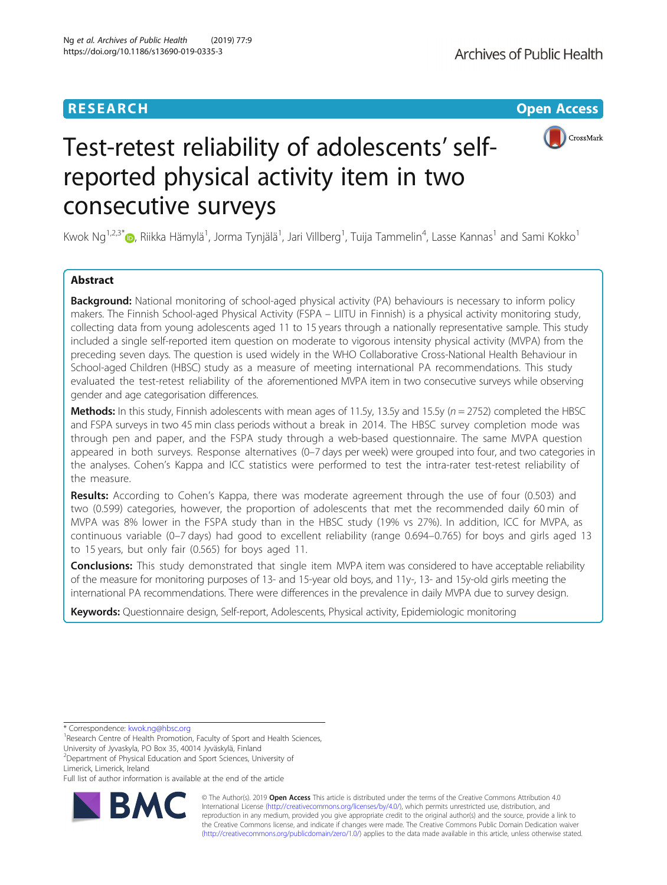## **RESEARCH CHINESE ARCH CHINESE ARCH CHINESE ARCH CHINESE ARCH <b>CHINESE ARCH**



# Test-retest reliability of adolescents' selfreported physical activity item in two consecutive surveys

Kwok Ng<sup>1,2,3\*</sup>�, Riikka Hämylä<sup>1</sup>, Jorma Tynjälä<sup>1</sup>, Jari Villberg<sup>1</sup>, Tuija Tammelin<sup>4</sup>, Lasse Kannas<sup>1</sup> and Sami Kokko<sup>1</sup>

## Abstract

**Background:** National monitoring of school-aged physical activity (PA) behaviours is necessary to inform policy makers. The Finnish School-aged Physical Activity (FSPA – LIITU in Finnish) is a physical activity monitoring study, collecting data from young adolescents aged 11 to 15 years through a nationally representative sample. This study included a single self-reported item question on moderate to vigorous intensity physical activity (MVPA) from the preceding seven days. The question is used widely in the WHO Collaborative Cross-National Health Behaviour in School-aged Children (HBSC) study as a measure of meeting international PA recommendations. This study evaluated the test-retest reliability of the aforementioned MVPA item in two consecutive surveys while observing gender and age categorisation differences.

Methods: In this study, Finnish adolescents with mean ages of 11.5y, 13.5y and 15.5y ( $n = 2752$ ) completed the HBSC and FSPA surveys in two 45 min class periods without a break in 2014. The HBSC survey completion mode was through pen and paper, and the FSPA study through a web-based questionnaire. The same MVPA question appeared in both surveys. Response alternatives (0–7 days per week) were grouped into four, and two categories in the analyses. Cohen's Kappa and ICC statistics were performed to test the intra-rater test-retest reliability of the measure.

Results: According to Cohen's Kappa, there was moderate agreement through the use of four (0.503) and two (0.599) categories, however, the proportion of adolescents that met the recommended daily 60 min of MVPA was 8% lower in the FSPA study than in the HBSC study (19% vs 27%). In addition, ICC for MVPA, as continuous variable (0–7 days) had good to excellent reliability (range 0.694–0.765) for boys and girls aged 13 to 15 years, but only fair (0.565) for boys aged 11.

**Conclusions:** This study demonstrated that single item MVPA item was considered to have acceptable reliability of the measure for monitoring purposes of 13- and 15-year old boys, and 11y-, 13- and 15y-old girls meeting the international PA recommendations. There were differences in the prevalence in daily MVPA due to survey design.

Keywords: Questionnaire design, Self-report, Adolescents, Physical activity, Epidemiologic monitoring

\* Correspondence: [kwok.ng@hbsc.org](mailto:kwok.ng@hbsc.org) <sup>1</sup>

Full list of author information is available at the end of the article



© The Author(s). 2019 **Open Access** This article is distributed under the terms of the Creative Commons Attribution 4.0 International License [\(http://creativecommons.org/licenses/by/4.0/](http://creativecommons.org/licenses/by/4.0/)), which permits unrestricted use, distribution, and reproduction in any medium, provided you give appropriate credit to the original author(s) and the source, provide a link to the Creative Commons license, and indicate if changes were made. The Creative Commons Public Domain Dedication waiver [\(http://creativecommons.org/publicdomain/zero/1.0/](http://creativecommons.org/publicdomain/zero/1.0/)) applies to the data made available in this article, unless otherwise stated.

<sup>&</sup>lt;sup>1</sup> Research Centre of Health Promotion, Faculty of Sport and Health Sciences, University of Jyvaskyla, PO Box 35, 40014 Jyväskylä, Finland

<sup>2</sup> Department of Physical Education and Sport Sciences, University of Limerick, Limerick, Ireland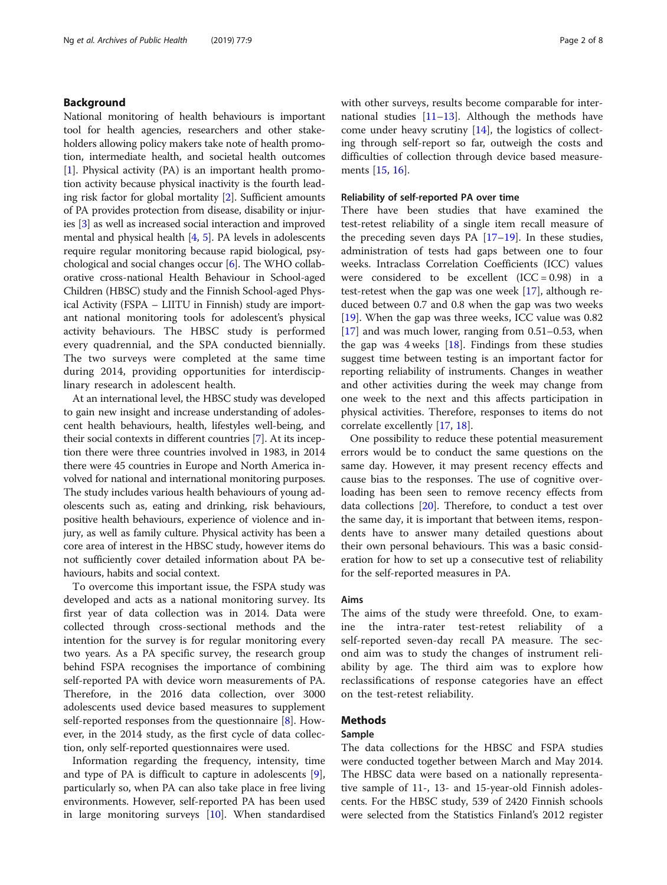## Background

National monitoring of health behaviours is important tool for health agencies, researchers and other stakeholders allowing policy makers take note of health promotion, intermediate health, and societal health outcomes [[1\]](#page-7-0). Physical activity (PA) is an important health promotion activity because physical inactivity is the fourth leading risk factor for global mortality [\[2](#page-7-0)]. Sufficient amounts of PA provides protection from disease, disability or injuries [[3\]](#page-7-0) as well as increased social interaction and improved mental and physical health [\[4,](#page-7-0) [5\]](#page-7-0). PA levels in adolescents require regular monitoring because rapid biological, psychological and social changes occur [[6](#page-7-0)]. The WHO collaborative cross-national Health Behaviour in School-aged Children (HBSC) study and the Finnish School-aged Physical Activity (FSPA – LIITU in Finnish) study are important national monitoring tools for adolescent's physical activity behaviours. The HBSC study is performed every quadrennial, and the SPA conducted biennially. The two surveys were completed at the same time during 2014, providing opportunities for interdisciplinary research in adolescent health.

At an international level, the HBSC study was developed to gain new insight and increase understanding of adolescent health behaviours, health, lifestyles well-being, and their social contexts in different countries [\[7](#page-7-0)]. At its inception there were three countries involved in 1983, in 2014 there were 45 countries in Europe and North America involved for national and international monitoring purposes. The study includes various health behaviours of young adolescents such as, eating and drinking, risk behaviours, positive health behaviours, experience of violence and injury, as well as family culture. Physical activity has been a core area of interest in the HBSC study, however items do not sufficiently cover detailed information about PA behaviours, habits and social context.

To overcome this important issue, the FSPA study was developed and acts as a national monitoring survey. Its first year of data collection was in 2014. Data were collected through cross-sectional methods and the intention for the survey is for regular monitoring every two years. As a PA specific survey, the research group behind FSPA recognises the importance of combining self-reported PA with device worn measurements of PA. Therefore, in the 2016 data collection, over 3000 adolescents used device based measures to supplement self-reported responses from the questionnaire [\[8](#page-7-0)]. However, in the 2014 study, as the first cycle of data collection, only self-reported questionnaires were used.

Information regarding the frequency, intensity, time and type of PA is difficult to capture in adolescents [\[9](#page-7-0)], particularly so, when PA can also take place in free living environments. However, self-reported PA has been used in large monitoring surveys [\[10](#page-7-0)]. When standardised with other surveys, results become comparable for international studies  $[11-13]$  $[11-13]$  $[11-13]$ . Although the methods have come under heavy scrutiny [[14\]](#page-7-0), the logistics of collecting through self-report so far, outweigh the costs and difficulties of collection through device based measurements [[15,](#page-7-0) [16\]](#page-7-0).

### Reliability of self-reported PA over time

There have been studies that have examined the test-retest reliability of a single item recall measure of the preceding seven days PA [[17](#page-7-0)–[19](#page-7-0)]. In these studies, administration of tests had gaps between one to four weeks. Intraclass Correlation Coefficients (ICC) values were considered to be excellent  $(ICC = 0.98)$  in a test-retest when the gap was one week [[17\]](#page-7-0), although reduced between 0.7 and 0.8 when the gap was two weeks [[19\]](#page-7-0). When the gap was three weeks, ICC value was 0.82 [[17\]](#page-7-0) and was much lower, ranging from 0.51–0.53, when the gap was  $4$  weeks  $[18]$  $[18]$  $[18]$ . Findings from these studies suggest time between testing is an important factor for reporting reliability of instruments. Changes in weather and other activities during the week may change from one week to the next and this affects participation in physical activities. Therefore, responses to items do not correlate excellently [[17](#page-7-0), [18](#page-7-0)].

One possibility to reduce these potential measurement errors would be to conduct the same questions on the same day. However, it may present recency effects and cause bias to the responses. The use of cognitive overloading has been seen to remove recency effects from data collections [\[20](#page-7-0)]. Therefore, to conduct a test over the same day, it is important that between items, respondents have to answer many detailed questions about their own personal behaviours. This was a basic consideration for how to set up a consecutive test of reliability for the self-reported measures in PA.

#### Aims

The aims of the study were threefold. One, to examine the intra-rater test-retest reliability of a self-reported seven-day recall PA measure. The second aim was to study the changes of instrument reliability by age. The third aim was to explore how reclassifications of response categories have an effect on the test-retest reliability.

## Methods

## Sample

The data collections for the HBSC and FSPA studies were conducted together between March and May 2014. The HBSC data were based on a nationally representative sample of 11-, 13- and 15-year-old Finnish adolescents. For the HBSC study, 539 of 2420 Finnish schools were selected from the Statistics Finland's 2012 register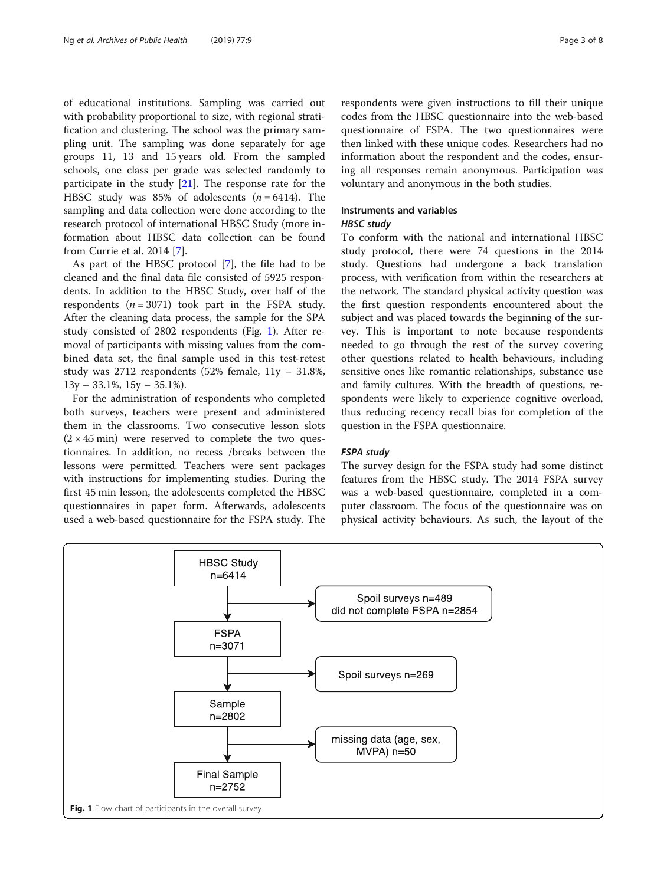of educational institutions. Sampling was carried out with probability proportional to size, with regional stratification and clustering. The school was the primary sampling unit. The sampling was done separately for age groups 11, 13 and 15 years old. From the sampled schools, one class per grade was selected randomly to participate in the study [\[21](#page-7-0)]. The response rate for the HBSC study was 85% of adolescents  $(n = 6414)$ . The sampling and data collection were done according to the research protocol of international HBSC Study (more information about HBSC data collection can be found from Currie et al. 2014 [[7\]](#page-7-0).

As part of the HBSC protocol [\[7\]](#page-7-0), the file had to be cleaned and the final data file consisted of 5925 respondents. In addition to the HBSC Study, over half of the respondents  $(n = 3071)$  took part in the FSPA study. After the cleaning data process, the sample for the SPA study consisted of 2802 respondents (Fig. 1). After removal of participants with missing values from the combined data set, the final sample used in this test-retest study was 2712 respondents (52% female, 11y – 31.8%,  $13y - 33.1\%, 15y - 35.1\%$ .

For the administration of respondents who completed both surveys, teachers were present and administered them in the classrooms. Two consecutive lesson slots  $(2 \times 45 \text{ min})$  were reserved to complete the two questionnaires. In addition, no recess /breaks between the lessons were permitted. Teachers were sent packages with instructions for implementing studies. During the first 45 min lesson, the adolescents completed the HBSC questionnaires in paper form. Afterwards, adolescents used a web-based questionnaire for the FSPA study. The

respondents were given instructions to fill their unique codes from the HBSC questionnaire into the web-based questionnaire of FSPA. The two questionnaires were then linked with these unique codes. Researchers had no information about the respondent and the codes, ensuring all responses remain anonymous. Participation was voluntary and anonymous in the both studies.

#### Instruments and variables

## HBSC study

To conform with the national and international HBSC study protocol, there were 74 questions in the 2014 study. Questions had undergone a back translation process, with verification from within the researchers at the network. The standard physical activity question was the first question respondents encountered about the subject and was placed towards the beginning of the survey. This is important to note because respondents needed to go through the rest of the survey covering other questions related to health behaviours, including sensitive ones like romantic relationships, substance use and family cultures. With the breadth of questions, respondents were likely to experience cognitive overload, thus reducing recency recall bias for completion of the question in the FSPA questionnaire.

#### FSPA study

The survey design for the FSPA study had some distinct features from the HBSC study. The 2014 FSPA survey was a web-based questionnaire, completed in a computer classroom. The focus of the questionnaire was on physical activity behaviours. As such, the layout of the

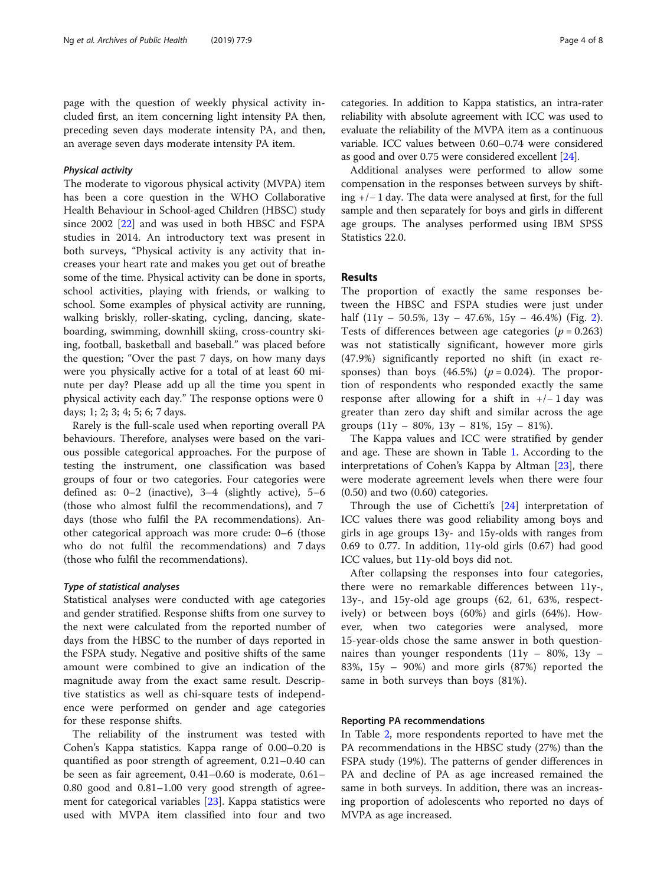page with the question of weekly physical activity included first, an item concerning light intensity PA then, preceding seven days moderate intensity PA, and then, an average seven days moderate intensity PA item.

### Physical activity

The moderate to vigorous physical activity (MVPA) item has been a core question in the WHO Collaborative Health Behaviour in School-aged Children (HBSC) study since 2002 [[22\]](#page-7-0) and was used in both HBSC and FSPA studies in 2014. An introductory text was present in both surveys, "Physical activity is any activity that increases your heart rate and makes you get out of breathe some of the time. Physical activity can be done in sports, school activities, playing with friends, or walking to school. Some examples of physical activity are running, walking briskly, roller-skating, cycling, dancing, skateboarding, swimming, downhill skiing, cross-country skiing, football, basketball and baseball." was placed before the question; "Over the past 7 days, on how many days were you physically active for a total of at least 60 minute per day? Please add up all the time you spent in physical activity each day." The response options were 0 days; 1; 2; 3; 4; 5; 6; 7 days.

Rarely is the full-scale used when reporting overall PA behaviours. Therefore, analyses were based on the various possible categorical approaches. For the purpose of testing the instrument, one classification was based groups of four or two categories. Four categories were defined as: 0–2 (inactive), 3–4 (slightly active), 5–6 (those who almost fulfil the recommendations), and 7 days (those who fulfil the PA recommendations). Another categorical approach was more crude: 0–6 (those who do not fulfil the recommendations) and 7 days (those who fulfil the recommendations).

#### Type of statistical analyses

Statistical analyses were conducted with age categories and gender stratified. Response shifts from one survey to the next were calculated from the reported number of days from the HBSC to the number of days reported in the FSPA study. Negative and positive shifts of the same amount were combined to give an indication of the magnitude away from the exact same result. Descriptive statistics as well as chi-square tests of independence were performed on gender and age categories for these response shifts.

The reliability of the instrument was tested with Cohen's Kappa statistics. Kappa range of 0.00–0.20 is quantified as poor strength of agreement, 0.21–0.40 can be seen as fair agreement, 0.41–0.60 is moderate, 0.61– 0.80 good and 0.81–1.00 very good strength of agreement for categorical variables [\[23](#page-7-0)]. Kappa statistics were used with MVPA item classified into four and two categories. In addition to Kappa statistics, an intra-rater reliability with absolute agreement with ICC was used to evaluate the reliability of the MVPA item as a continuous variable. ICC values between 0.60–0.74 were considered as good and over 0.75 were considered excellent [\[24\]](#page-7-0).

Additional analyses were performed to allow some compensation in the responses between surveys by shifting +/− 1 day. The data were analysed at first, for the full sample and then separately for boys and girls in different age groups. The analyses performed using IBM SPSS Statistics 22.0.

## Results

The proportion of exactly the same responses between the HBSC and FSPA studies were just under half  $(11y - 50.5\%, 13y - 47.6\%, 15y - 46.4\%)$  (Fig. [2](#page-4-0)). Tests of differences between age categories ( $p = 0.263$ ) was not statistically significant, however more girls (47.9%) significantly reported no shift (in exact responses) than boys  $(46.5%)$   $(p = 0.024)$ . The proportion of respondents who responded exactly the same response after allowing for a shift in  $+/-1$  day was greater than zero day shift and similar across the age groups  $(11y - 80\%, 13y - 81\%, 15y - 81\%).$ 

The Kappa values and ICC were stratified by gender and age. These are shown in Table [1](#page-4-0). According to the interpretations of Cohen's Kappa by Altman [\[23](#page-7-0)], there were moderate agreement levels when there were four (0.50) and two (0.60) categories.

Through the use of Cichetti's [\[24](#page-7-0)] interpretation of ICC values there was good reliability among boys and girls in age groups 13y- and 15y-olds with ranges from 0.69 to 0.77. In addition, 11y-old girls (0.67) had good ICC values, but 11y-old boys did not.

After collapsing the responses into four categories, there were no remarkable differences between 11y-, 13y-, and 15y-old age groups (62, 61, 63%, respectively) or between boys (60%) and girls (64%). However, when two categories were analysed, more 15-year-olds chose the same answer in both questionnaires than younger respondents  $(11y - 80\%)$ ,  $13y -$ 83%, 15y – 90%) and more girls (87%) reported the same in both surveys than boys (81%).

### Reporting PA recommendations

In Table [2](#page-5-0), more respondents reported to have met the PA recommendations in the HBSC study (27%) than the FSPA study (19%). The patterns of gender differences in PA and decline of PA as age increased remained the same in both surveys. In addition, there was an increasing proportion of adolescents who reported no days of MVPA as age increased.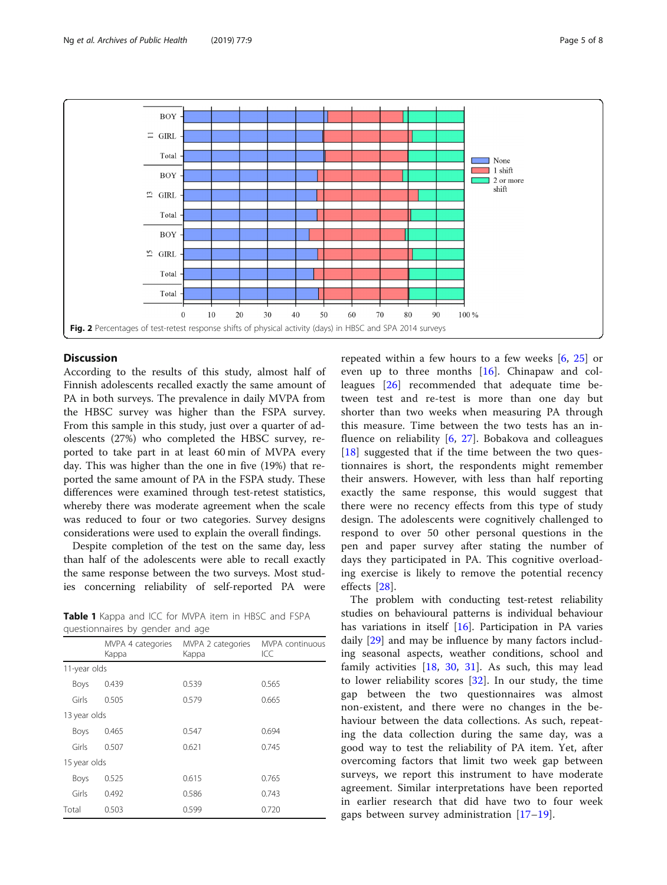<span id="page-4-0"></span>

## **Discussion**

According to the results of this study, almost half of Finnish adolescents recalled exactly the same amount of PA in both surveys. The prevalence in daily MVPA from the HBSC survey was higher than the FSPA survey. From this sample in this study, just over a quarter of adolescents (27%) who completed the HBSC survey, reported to take part in at least 60 min of MVPA every day. This was higher than the one in five (19%) that reported the same amount of PA in the FSPA study. These differences were examined through test-retest statistics, whereby there was moderate agreement when the scale was reduced to four or two categories. Survey designs considerations were used to explain the overall findings.

Despite completion of the test on the same day, less than half of the adolescents were able to recall exactly the same response between the two surveys. Most studies concerning reliability of self-reported PA were

Table 1 Kappa and ICC for MVPA item in HBSC and FSPA questionnaires by gender and age

|              | MVPA 4 categories<br>Kappa | MVPA 2 categories<br>Kappa | <b>MVPA</b> continuous<br>ICC |  |  |
|--------------|----------------------------|----------------------------|-------------------------------|--|--|
| 11-year olds |                            |                            |                               |  |  |
| Boys         | 0.439                      | 0.539                      | 0.565                         |  |  |
| Girls        | 0.505                      | 0.579                      | 0.665                         |  |  |
| 13 year olds |                            |                            |                               |  |  |
| Boys         | 0.465                      | 0.547                      | 0.694                         |  |  |
| Girls        | 0.507                      | 0.621                      | 0.745                         |  |  |
| 15 year olds |                            |                            |                               |  |  |
| Boys         | 0.525                      | 0.615                      | 0.765                         |  |  |
| Girls        | 0.492                      | 0.586                      | 0.743                         |  |  |
| Total        | 0.503                      | 0.599                      | 0.720                         |  |  |

repeated within a few hours to a few weeks  $[6, 25]$  $[6, 25]$  $[6, 25]$  $[6, 25]$  or even up to three months [\[16](#page-7-0)]. Chinapaw and colleagues [\[26](#page-7-0)] recommended that adequate time between test and re-test is more than one day but shorter than two weeks when measuring PA through this measure. Time between the two tests has an influence on reliability [[6,](#page-7-0) [27](#page-7-0)]. Bobakova and colleagues [[18\]](#page-7-0) suggested that if the time between the two questionnaires is short, the respondents might remember their answers. However, with less than half reporting exactly the same response, this would suggest that there were no recency effects from this type of study design. The adolescents were cognitively challenged to respond to over 50 other personal questions in the pen and paper survey after stating the number of days they participated in PA. This cognitive overloading exercise is likely to remove the potential recency effects [[28\]](#page-7-0).

The problem with conducting test-retest reliability studies on behavioural patterns is individual behaviour has variations in itself [\[16](#page-7-0)]. Participation in PA varies daily [[29](#page-7-0)] and may be influence by many factors including seasonal aspects, weather conditions, school and family activities  $[18, 30, 31]$  $[18, 30, 31]$  $[18, 30, 31]$  $[18, 30, 31]$  $[18, 30, 31]$  $[18, 30, 31]$ . As such, this may lead to lower reliability scores [[32\]](#page-7-0). In our study, the time gap between the two questionnaires was almost non-existent, and there were no changes in the behaviour between the data collections. As such, repeating the data collection during the same day, was a good way to test the reliability of PA item. Yet, after overcoming factors that limit two week gap between surveys, we report this instrument to have moderate agreement. Similar interpretations have been reported in earlier research that did have two to four week gaps between survey administration  $[17–19]$  $[17–19]$  $[17–19]$  $[17–19]$ .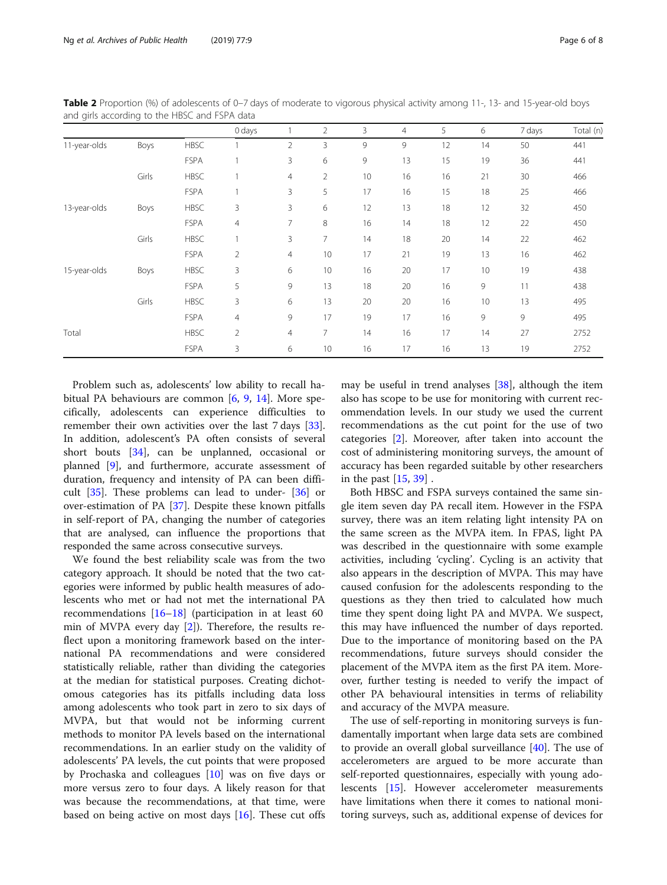|              |       |             | 0 days         |                | $\overline{2}$ | 3  | 4  | 5  | 6  | 7 days | Total (n) |
|--------------|-------|-------------|----------------|----------------|----------------|----|----|----|----|--------|-----------|
| 11-year-olds | Boys  | <b>HBSC</b> |                | 2              | 3              | 9  | 9  | 12 | 14 | 50     | 441       |
|              |       | <b>FSPA</b> |                | 3              | 6              | 9  | 13 | 15 | 19 | 36     | 441       |
|              | Girls | <b>HBSC</b> |                | 4              | $\overline{2}$ | 10 | 16 | 16 | 21 | 30     | 466       |
|              |       | <b>FSPA</b> |                | 3              | 5              | 17 | 16 | 15 | 18 | 25     | 466       |
| 13-year-olds | Boys  | <b>HBSC</b> | 3              | 3              | 6              | 12 | 13 | 18 | 12 | 32     | 450       |
|              |       | <b>FSPA</b> | 4              | 7              | 8              | 16 | 14 | 18 | 12 | 22     | 450       |
|              | Girls | <b>HBSC</b> |                | 3              | 7              | 14 | 18 | 20 | 14 | 22     | 462       |
|              |       | <b>FSPA</b> | $\overline{2}$ | 4              | 10             | 17 | 21 | 19 | 13 | 16     | 462       |
| 15-year-olds | Boys  | <b>HBSC</b> | 3              | 6              | 10             | 16 | 20 | 17 | 10 | 19     | 438       |
|              |       | <b>FSPA</b> | 5              | 9              | 13             | 18 | 20 | 16 | 9  | 11     | 438       |
|              | Girls | <b>HBSC</b> | 3              | 6              | 13             | 20 | 20 | 16 | 10 | 13     | 495       |
|              |       | <b>FSPA</b> | 4              | 9              | 17             | 19 | 17 | 16 | 9  | 9      | 495       |
| Total        |       | <b>HBSC</b> | $\overline{2}$ | $\overline{4}$ | 7              | 14 | 16 | 17 | 14 | 27     | 2752      |
|              |       | <b>FSPA</b> | 3              | 6              | 10             | 16 | 17 | 16 | 13 | 19     | 2752      |

<span id="page-5-0"></span>Table 2 Proportion (%) of adolescents of 0-7 days of moderate to vigorous physical activity among 11-, 13- and 15-year-old boys and girls according to the HBSC and FSPA data

Problem such as, adolescents' low ability to recall habitual PA behaviours are common [[6,](#page-7-0) [9,](#page-7-0) [14](#page-7-0)]. More specifically, adolescents can experience difficulties to remember their own activities over the last 7 days [\[33](#page-7-0)]. In addition, adolescent's PA often consists of several short bouts [\[34](#page-7-0)], can be unplanned, occasional or planned [\[9\]](#page-7-0), and furthermore, accurate assessment of duration, frequency and intensity of PA can been difficult  $[35]$  $[35]$ . These problems can lead to under-  $[36]$  $[36]$  $[36]$  or over-estimation of PA [\[37](#page-7-0)]. Despite these known pitfalls in self-report of PA, changing the number of categories that are analysed, can influence the proportions that responded the same across consecutive surveys.

We found the best reliability scale was from the two category approach. It should be noted that the two categories were informed by public health measures of adolescents who met or had not met the international PA recommendations [[16](#page-7-0)–[18\]](#page-7-0) (participation in at least 60 min of MVPA every day [\[2](#page-7-0)]). Therefore, the results reflect upon a monitoring framework based on the international PA recommendations and were considered statistically reliable, rather than dividing the categories at the median for statistical purposes. Creating dichotomous categories has its pitfalls including data loss among adolescents who took part in zero to six days of MVPA, but that would not be informing current methods to monitor PA levels based on the international recommendations. In an earlier study on the validity of adolescents' PA levels, the cut points that were proposed by Prochaska and colleagues [[10\]](#page-7-0) was on five days or more versus zero to four days. A likely reason for that was because the recommendations, at that time, were based on being active on most days [[16\]](#page-7-0). These cut offs

may be useful in trend analyses [[38\]](#page-7-0), although the item also has scope to be use for monitoring with current recommendation levels. In our study we used the current recommendations as the cut point for the use of two categories [[2\]](#page-7-0). Moreover, after taken into account the cost of administering monitoring surveys, the amount of accuracy has been regarded suitable by other researchers in the past [\[15](#page-7-0), [39\]](#page-7-0) .

Both HBSC and FSPA surveys contained the same single item seven day PA recall item. However in the FSPA survey, there was an item relating light intensity PA on the same screen as the MVPA item. In FPAS, light PA was described in the questionnaire with some example activities, including 'cycling'. Cycling is an activity that also appears in the description of MVPA. This may have caused confusion for the adolescents responding to the questions as they then tried to calculated how much time they spent doing light PA and MVPA. We suspect, this may have influenced the number of days reported. Due to the importance of monitoring based on the PA recommendations, future surveys should consider the placement of the MVPA item as the first PA item. Moreover, further testing is needed to verify the impact of other PA behavioural intensities in terms of reliability and accuracy of the MVPA measure.

The use of self-reporting in monitoring surveys is fundamentally important when large data sets are combined to provide an overall global surveillance  $[40]$ . The use of accelerometers are argued to be more accurate than self-reported questionnaires, especially with young adolescents [[15](#page-7-0)]. However accelerometer measurements have limitations when there it comes to national monitoring surveys, such as, additional expense of devices for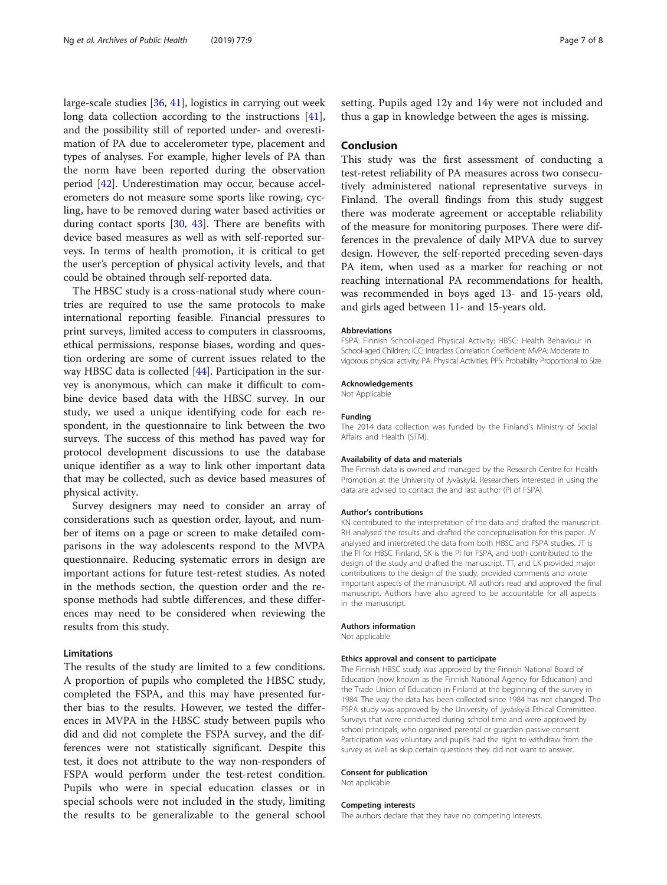large-scale studies [\[36,](#page-7-0) [41\]](#page-7-0), logistics in carrying out week long data collection according to the instructions [\[41](#page-7-0)], and the possibility still of reported under- and overestimation of PA due to accelerometer type, placement and types of analyses. For example, higher levels of PA than the norm have been reported during the observation period [\[42\]](#page-7-0). Underestimation may occur, because accelerometers do not measure some sports like rowing, cycling, have to be removed during water based activities or during contact sports [[30,](#page-7-0) [43](#page-7-0)]. There are benefits with device based measures as well as with self-reported surveys. In terms of health promotion, it is critical to get the user's perception of physical activity levels, and that could be obtained through self-reported data.

The HBSC study is a cross-national study where countries are required to use the same protocols to make international reporting feasible. Financial pressures to print surveys, limited access to computers in classrooms, ethical permissions, response biases, wording and question ordering are some of current issues related to the way HBSC data is collected [[44\]](#page-7-0). Participation in the survey is anonymous, which can make it difficult to combine device based data with the HBSC survey. In our study, we used a unique identifying code for each respondent, in the questionnaire to link between the two surveys. The success of this method has paved way for protocol development discussions to use the database unique identifier as a way to link other important data that may be collected, such as device based measures of physical activity.

Survey designers may need to consider an array of considerations such as question order, layout, and number of items on a page or screen to make detailed comparisons in the way adolescents respond to the MVPA questionnaire. Reducing systematic errors in design are important actions for future test-retest studies. As noted in the methods section, the question order and the response methods had subtle differences, and these differences may need to be considered when reviewing the results from this study.

#### **Limitations**

The results of the study are limited to a few conditions. A proportion of pupils who completed the HBSC study, completed the FSPA, and this may have presented further bias to the results. However, we tested the differences in MVPA in the HBSC study between pupils who did and did not complete the FSPA survey, and the differences were not statistically significant. Despite this test, it does not attribute to the way non-responders of FSPA would perform under the test-retest condition. Pupils who were in special education classes or in special schools were not included in the study, limiting the results to be generalizable to the general school

setting. Pupils aged 12y and 14y were not included and thus a gap in knowledge between the ages is missing.

## Conclusion

This study was the first assessment of conducting a test-retest reliability of PA measures across two consecutively administered national representative surveys in Finland. The overall findings from this study suggest there was moderate agreement or acceptable reliability of the measure for monitoring purposes. There were differences in the prevalence of daily MPVA due to survey design. However, the self-reported preceding seven-days PA item, when used as a marker for reaching or not reaching international PA recommendations for health, was recommended in boys aged 13- and 15-years old, and girls aged between 11- and 15-years old.

#### Abbreviations

FSPA: Finnish School-aged Physical Activity; HBSC: Health Behaviour in School-aged Children; ICC: Intraclass Correlation Coefficient; MVPA: Moderate to vigorous physical activity; PA: Physical Activities; PPS: Probability Proportional to Size

#### Acknowledgements

Not Applicable

#### Funding

The 2014 data collection was funded by the Finland's Ministry of Social Affairs and Health (STM).

#### Availability of data and materials

The Finnish data is owned and managed by the Research Centre for Health Promotion at the University of Jyväskylä. Researchers interested in using the data are advised to contact the and last author (PI of FSPA).

#### Author's contributions

KN contributed to the interpretation of the data and drafted the manuscript. RH analysed the results and drafted the conceptualisation for this paper. JV analysed and interpreted the data from both HBSC and FSPA studies. JT is the PI for HBSC Finland, SK is the PI for FSPA, and both contributed to the design of the study and drafted the manuscript. TT, and LK provided major contributions to the design of the study, provided comments and wrote important aspects of the manuscript. All authors read and approved the final manuscript. Authors have also agreed to be accountable for all aspects in the manuscript.

#### Authors information

Not applicable

#### Ethics approval and consent to participate

The Finnish HBSC study was approved by the Finnish National Board of Education (now known as the Finnish National Agency for Education) and the Trade Union of Education in Finland at the beginning of the survey in 1984. The way the data has been collected since 1984 has not changed. The FSPA study was approved by the University of Jyväskylä Ethical Committee. Surveys that were conducted during school time and were approved by school principals, who organised parental or guardian passive consent. Participation was voluntary and pupils had the right to withdraw from the survey as well as skip certain questions they did not want to answer.

#### Consent for publication

Not applicable

#### Competing interests

The authors declare that they have no competing interests.